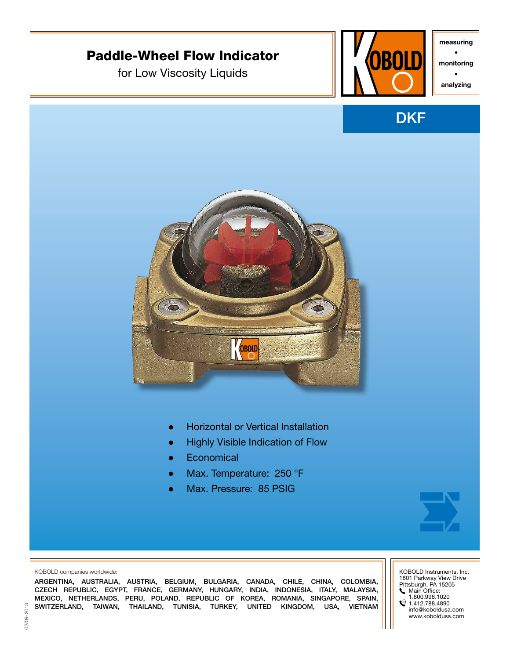

CZECH REPUBLIC, EGYPT, FRANCE, GERMANY, HUNGARY, INDIA, INDONESIA, ITALY, MALAYSIA, MEXICO, NETHERLANDS, PERU, POLAND, REPUBLIC OF KOREA, ROMANIA, SINGAPORE, SPAIN, SWITZERLAND, TAIWAN, THAILAND, TUNISIA, TURKEY, UNITED KINGDOM, USA, VIETNAM Main Office:

1.800.998.1020

 $\textcircled{1.412.788.4890}$ info@koboldusa.com www.koboldusa.com